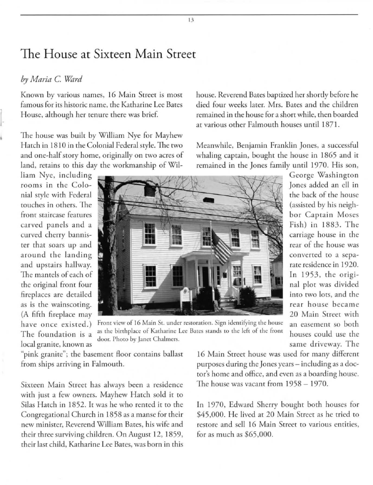## The House at Sixteen **Main** Street

## *by Maria* C. *Ward*

Known by various names, 16 Main Street is most **famous for irs historic name, the Katharine Lee Bares**  House, although her tenure there was brief.

The house was built by William Nye For Mayhew Hatch in 1810 in the Colonial Federal style. The two and one-half story home, originally on two acres of land, retains to this day the workmanship of Wil-

**li am Nyc, including**  rooms in the Colonial style with Federal touches in others. The **front stai rcase features**  ca rved panels and a **curved cherry bannis**ter that soars up and around the landing and upstairs hallway. The mantels of each of the original front four fireplaces are detailed as is the wainscoting. (A fiFth fireplace may have once existed.) **The foundation is a local granite, known as** 



Front view of 16 Main St. under restoration. Sign identifying the house as the birthplace of Katharine Lee Bates stands to the left of the front door. Photo by Janet Chalmers. **Same driveway.** The same driveway. The **same driveway.** The **same driveway**.

"pink granite"; the basement floor contains ballast **from ships arriving in Falmouth.** 

**Sixteen Main Street has always been a residence**  with just a few owners. Mayhew Hatch sold it to Silas Hatch in 1852. It was he who rented it to the Congregational Church in 1858 as a manse for their **new minister. Reverend Wi lliam Bates. his wife and**  their three surviving children. On August 12, 1859, **their last child. Katharine Lee Bares, was born in rhis** 

16 Main Street house was used for many different purposes during the Jones years - including as a doctor's home and office, and even as a boarding house. The house was vacant from  $1958 - 1970$ .

In 1970, Edward Sherry bought both houses for \$45,000. He lived at 20 Main Street as he tried to **restore and sell 16 Main Street to various enrities,**  For as much as \$65.000.

house. Reverend Bates baptized her shortly before he died four weeks later. Mrs. Bates and the children remained in the house for a short while, then boarded at various other Falmouth houses until 1871.

Meanwhile, Benjamin Franklin Jones, a successful whaling captain, bought the house in 1865 and it remained in the Jones family until 1970. His son,

> George Washington Jones added an ell in the back of the house (assisted by his neighbor Captain Moses Fish) in 1883. The **carriage hOllse in the rear of rhe house was**  converted to a separate residence in 1920. In 1953, the original plot was divided into two lots, and the **fear** house became 20 Main Street with **an easement so both**  houses could use the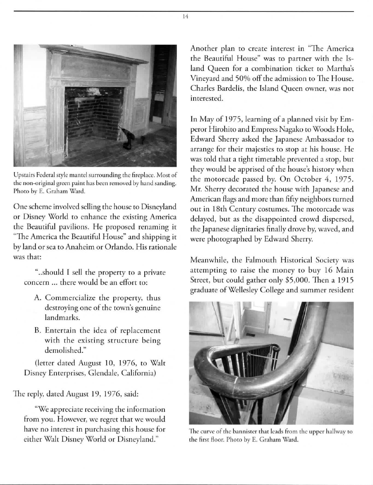

Upstairs Federal style mantel surrounding the fireplace. Most of the non-original green paint has been removed by hand sanding. Photo by E. Graham Ward.

One scheme involved selling the house to Disneyland or Disney World to enhance the existing America the Beautiful pavilions. He proposed renaming it "The America the Beautiful House" and shipping it by land or sea to Anaheim or Orlando. His rationale **was that:** 

" .. should I sell the property to a private **concern** ... **there would be an efforr ro:** 

- A. Commercialize the property, thus **destroying one of the rown's genuine**  landmarks.
- **B. Enterrain the idea of replacement**   $with the existing structure being$ demolished."

(letter dated August 10, 1976, to Walt Disney Enterprises, Glendale, California)

The reply, dated August 19, 1976, said:

**"We appreciate receiving the information from you. However, we regret that we would**  have no interest in purchasing this house for either Walt Disney World or Disneyland."

Another plan to create interest in "The America the Beautiful House" was to partner with the Is**land Queen fo r a combination ticket to Marrha's**  Vineyard and 50% off the admission to The House. Charles Bardelis, the Island Queen owner, was not **in terested.** 

In May of 1975, learning of a planned visit by Emperor Hirohito and Empress Nagako to Woods Hole, Edward Sherry asked the Japanese Ambassador to arrange for their majesties to stop at his house. He was told that a tight timetable prevented a stop, but they would be apprised of the house's history when the motorcade passed by. On October 4, 1975. Mr. Sherry decorated the house with Japanese and **American Aags and more than fifcy neighbors turned out in 18th Century costumes. The morofcade was**  delayed, but as the disappointed crowd dispersed, the Japanese dignitaries finally drove by, waved, and were photographed by Edward Sherry.

Meanwhile, the Falmouth Historical Society was attempting to raise the money to buy 16 Main Street, but could gather only \$5,000. Then a 1915 graduate of Wellesley College and summer resident



The curve of the bannister that leads from the upper hallway to the first floor. Photo by E. Graham Ward.

14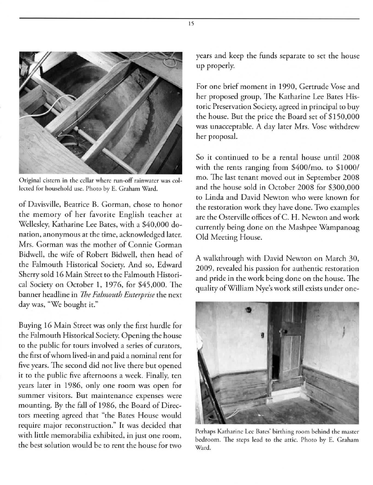

Original cistern in the cellar where run-off rainwater was collected for household use. Photo by E. Graham Ward.

**of Davisville. Beatrice B. Gorman, chose to honor**  the memory of her favorite English teacher at Wellesley, Karharine Lee Bares, wirh a \$40,000 do**nation, anonymous at rhe rime. acknowledged later. Mrs. Gorman was [he mother of Connie Gorman**  Bidwell, the wife of Robert Bidwell, then head of the Falmouth Historical Society. And so, Edward Sherry sold 16 Main Street to the Falmouth Historical Society on October 1, 1976, for  $$45,000$ . The **banner headline in** *the Falmouth Enterprise* **the next**  day was, "We bought it."

Buying 16 Main Street was only the first hurdle for the Falmouth Historical Sociery. Opening the house **to rhe public for tours involved a series of curators, the firsr of whom lived-in and paid a nominal rent for**  five years. The second did not live there but opened it to the public five afternoons a week. Finally, ten years later in 1986, only one room was open for **summer visitors. But maintenance expenses were**  mounting. By the fall of 1986, the Board of Directors meeting agreed that "the Bates House would **require major reconstruction." It was decided that with litrle memorabilia exhibired, in jusr one room,**  the best solution would be to rent the house for two

years and keep the funds separate to set the house up properly.

**For one brief moment in 1990, Gerrrude Vose and**  her proposed group, The Katharine Lee Bates His**toric Preservation Society, agreed in principal to buy**  the house. Bur the price the Board set of \$ J 50,000 was unacceptable. A day later Mrs. Vose withdrew her proposal.

So it continued to be a rental house until 2008 with the rents ranging from  $$400/m$ o. to  $$1000/$ mo. The last tenant moved out in September 2008 and the house sold in October 2008 for \$300,000 **to Linda and David Newton who were known for rhe restoration work rhey have done. Two examples**  are the Osrerville offices ofC. H. Newton and work currenrly being done on the Mashpee Wampanaag Old Meeting House.

A walkthrough with David Newton on March 30, **2009, revealed his passion for authentic restoration**  and pride in the work being done on the house. The qualiry of William Nyc's work srill exisrs under one-



Perhaps Katharine Lee Bates' birthing room behind the master **bedroom.** The steps lead to the attic. Photo by E. Graham **Ward.** 

15